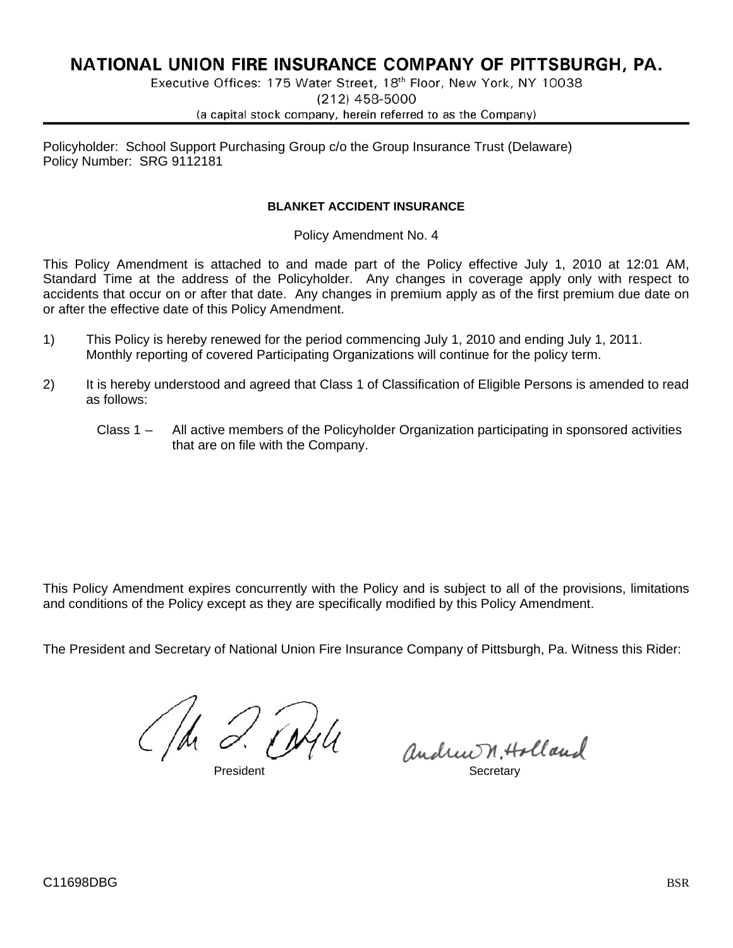# NATIONAL UNION FIRE INSURANCE COMPANY OF PITTSBURGH, PA.

Executive Offices: 175 Water Street, 18th Floor, New York, NY 10038  $(212)$  458-5000

(a capital stock company, herein referred to as the Company)

Policyholder: School Support Purchasing Group c/o the Group Insurance Trust (Delaware) Policy Number: SRG 9112181

## **BLANKET ACCIDENT INSURANCE**

Policy Amendment No. 4

This Policy Amendment is attached to and made part of the Policy effective July 1, 2010 at 12:01 AM, Standard Time at the address of the Policyholder. Any changes in coverage apply only with respect to accidents that occur on or after that date. Any changes in premium apply as of the first premium due date on or after the effective date of this Policy Amendment.

- 1) This Policy is hereby renewed for the period commencing July 1, 2010 and ending July 1, 2011. Monthly reporting of covered Participating Organizations will continue for the policy term.
- 2) It is hereby understood and agreed that Class 1 of Classification of Eligible Persons is amended to read as follows:
	- Class 1 All active members of the Policyholder Organization participating in sponsored activities that are on file with the Company.

This Policy Amendment expires concurrently with the Policy and is subject to all of the provisions, limitations and conditions of the Policy except as they are specifically modified by this Policy Amendment.

The President and Secretary of National Union Fire Insurance Company of Pittsburgh, Pa. Witness this Rider:

C/h 2. Fryle

andrew n. Holland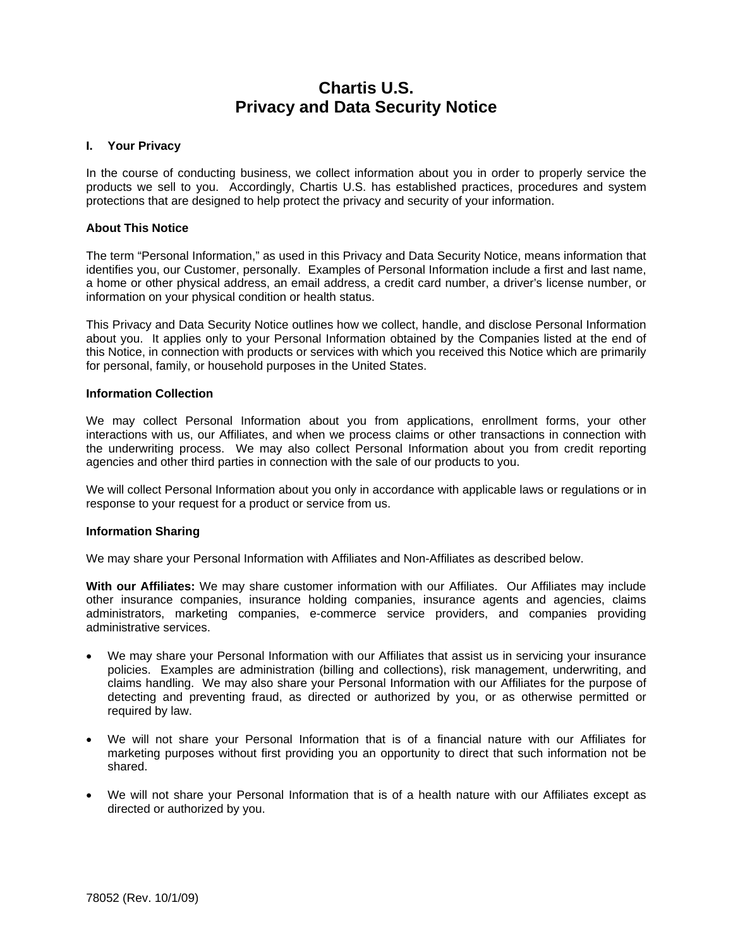# **Chartis U.S. Privacy and Data Security Notice**

## **I. Your Privacy**

In the course of conducting business, we collect information about you in order to properly service the products we sell to you. Accordingly, Chartis U.S. has established practices, procedures and system protections that are designed to help protect the privacy and security of your information.

## **About This Notice**

The term "Personal Information," as used in this Privacy and Data Security Notice, means information that identifies you, our Customer, personally. Examples of Personal Information include a first and last name, a home or other physical address, an email address, a credit card number, a driver's license number, or information on your physical condition or health status.

This Privacy and Data Security Notice outlines how we collect, handle, and disclose Personal Information about you. It applies only to your Personal Information obtained by the Companies listed at the end of this Notice, in connection with products or services with which you received this Notice which are primarily for personal, family, or household purposes in the United States.

### **Information Collection**

We may collect Personal Information about you from applications, enrollment forms, your other interactions with us, our Affiliates, and when we process claims or other transactions in connection with the underwriting process. We may also collect Personal Information about you from credit reporting agencies and other third parties in connection with the sale of our products to you.

We will collect Personal Information about you only in accordance with applicable laws or regulations or in response to your request for a product or service from us.

## **Information Sharing**

We may share your Personal Information with Affiliates and Non-Affiliates as described below.

**With our Affiliates:** We may share customer information with our Affiliates. Our Affiliates may include other insurance companies, insurance holding companies, insurance agents and agencies, claims administrators, marketing companies, e-commerce service providers, and companies providing administrative services.

- We may share your Personal Information with our Affiliates that assist us in servicing your insurance policies. Examples are administration (billing and collections), risk management, underwriting, and claims handling. We may also share your Personal Information with our Affiliates for the purpose of detecting and preventing fraud, as directed or authorized by you, or as otherwise permitted or required by law.
- We will not share your Personal Information that is of a financial nature with our Affiliates for marketing purposes without first providing you an opportunity to direct that such information not be shared.
- We will not share your Personal Information that is of a health nature with our Affiliates except as directed or authorized by you.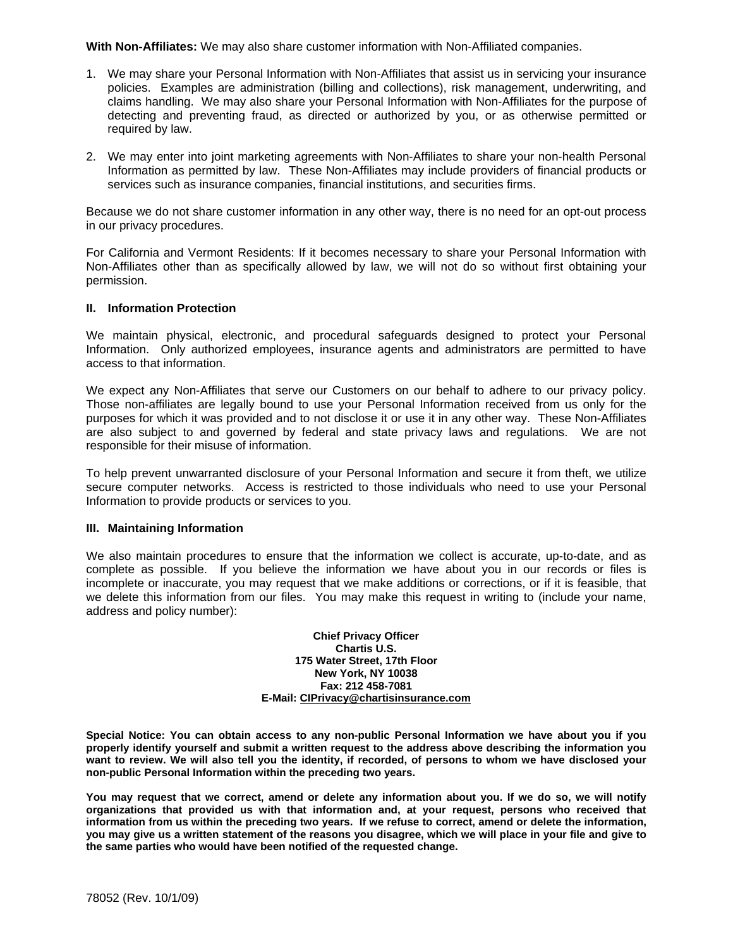**With Non-Affiliates:** We may also share customer information with Non-Affiliated companies.

- 1. We may share your Personal Information with Non-Affiliates that assist us in servicing your insurance policies. Examples are administration (billing and collections), risk management, underwriting, and claims handling. We may also share your Personal Information with Non-Affiliates for the purpose of detecting and preventing fraud, as directed or authorized by you, or as otherwise permitted or required by law.
- 2. We may enter into joint marketing agreements with Non-Affiliates to share your non-health Personal Information as permitted by law. These Non-Affiliates may include providers of financial products or services such as insurance companies, financial institutions, and securities firms.

Because we do not share customer information in any other way, there is no need for an opt-out process in our privacy procedures.

For California and Vermont Residents: If it becomes necessary to share your Personal Information with Non-Affiliates other than as specifically allowed by law, we will not do so without first obtaining your permission.

### **II. Information Protection**

We maintain physical, electronic, and procedural safeguards designed to protect your Personal Information. Only authorized employees, insurance agents and administrators are permitted to have access to that information.

We expect any Non-Affiliates that serve our Customers on our behalf to adhere to our privacy policy. Those non-affiliates are legally bound to use your Personal Information received from us only for the purposes for which it was provided and to not disclose it or use it in any other way. These Non-Affiliates are also subject to and governed by federal and state privacy laws and regulations. We are not responsible for their misuse of information.

To help prevent unwarranted disclosure of your Personal Information and secure it from theft, we utilize secure computer networks. Access is restricted to those individuals who need to use your Personal Information to provide products or services to you.

## **III. Maintaining Information**

We also maintain procedures to ensure that the information we collect is accurate, up-to-date, and as complete as possible. If you believe the information we have about you in our records or files is incomplete or inaccurate, you may request that we make additions or corrections, or if it is feasible, that we delete this information from our files. You may make this request in writing to (include your name, address and policy number):

> **Chief Privacy Officer Chartis U.S. 175 Water Street, 17th Floor New York, NY 10038 Fax: 212 458-7081 E-Mail: CIPrivacy@chartisinsurance.com**

**Special Notice: You can obtain access to any non-public Personal Information we have about you if you properly identify yourself and submit a written request to the address above describing the information you want to review. We will also tell you the identity, if recorded, of persons to whom we have disclosed your non-public Personal Information within the preceding two years.** 

**You may request that we correct, amend or delete any information about you. If we do so, we will notify organizations that provided us with that information and, at your request, persons who received that information from us within the preceding two years. If we refuse to correct, amend or delete the information, you may give us a written statement of the reasons you disagree, which we will place in your file and give to the same parties who would have been notified of the requested change.**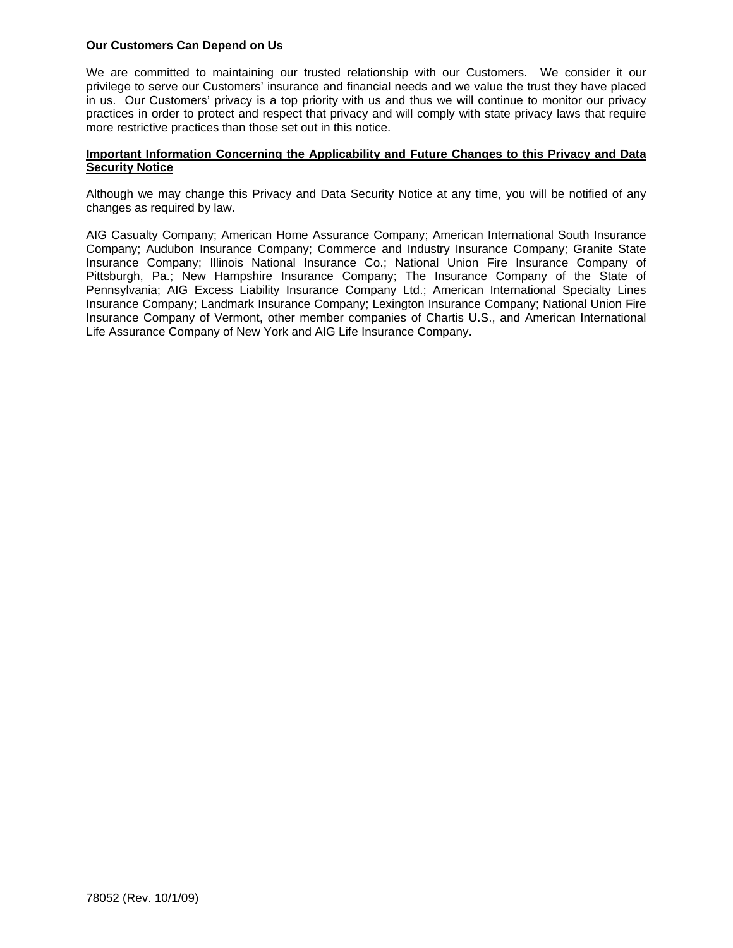## **Our Customers Can Depend on Us**

We are committed to maintaining our trusted relationship with our Customers. We consider it our privilege to serve our Customers' insurance and financial needs and we value the trust they have placed in us. Our Customers' privacy is a top priority with us and thus we will continue to monitor our privacy practices in order to protect and respect that privacy and will comply with state privacy laws that require more restrictive practices than those set out in this notice.

## **Important Information Concerning the Applicability and Future Changes to this Privacy and Data Security Notice**

Although we may change this Privacy and Data Security Notice at any time, you will be notified of any changes as required by law.

AIG Casualty Company; American Home Assurance Company; American International South Insurance Company; Audubon Insurance Company; Commerce and Industry Insurance Company; Granite State Insurance Company; Illinois National Insurance Co.; National Union Fire Insurance Company of Pittsburgh, Pa.; New Hampshire Insurance Company; The Insurance Company of the State of Pennsylvania; AIG Excess Liability Insurance Company Ltd.; American International Specialty Lines Insurance Company; Landmark Insurance Company; Lexington Insurance Company; National Union Fire Insurance Company of Vermont, other member companies of Chartis U.S., and American International Life Assurance Company of New York and AIG Life Insurance Company.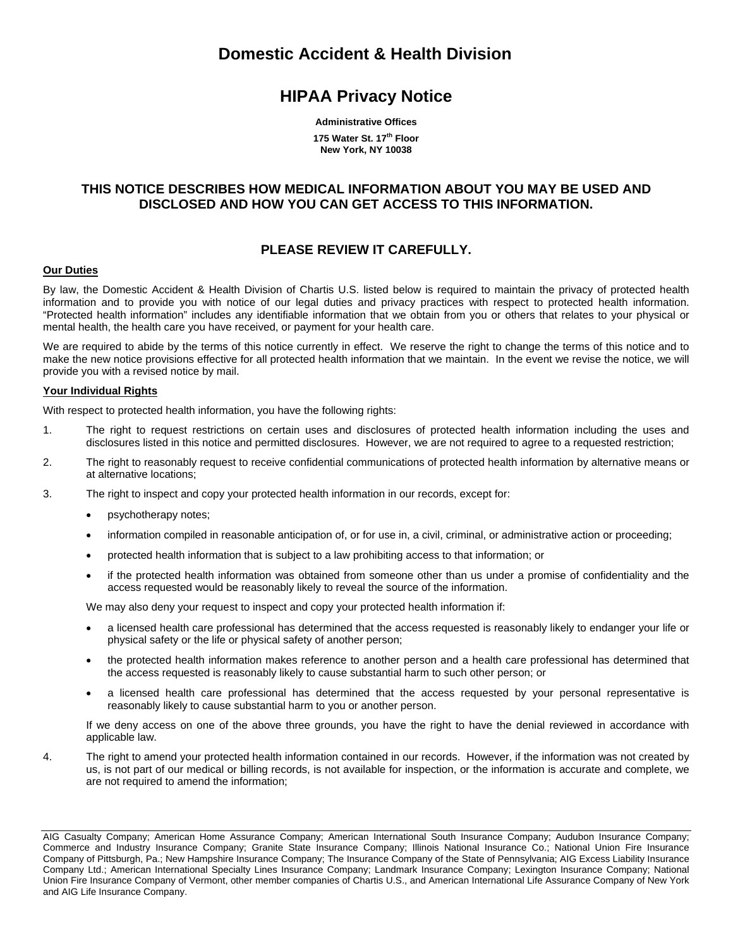# **Domestic Accident & Health Division**

# **HIPAA Privacy Notice**

**Administrative Offices** 

**175 Water St. 17th Floor New York, NY 10038** 

## **THIS NOTICE DESCRIBES HOW MEDICAL INFORMATION ABOUT YOU MAY BE USED AND DISCLOSED AND HOW YOU CAN GET ACCESS TO THIS INFORMATION.**

# **PLEASE REVIEW IT CAREFULLY.**

## **Our Duties**

By law, the Domestic Accident & Health Division of Chartis U.S. listed below is required to maintain the privacy of protected health information and to provide you with notice of our legal duties and privacy practices with respect to protected health information. "Protected health information" includes any identifiable information that we obtain from you or others that relates to your physical or mental health, the health care you have received, or payment for your health care.

We are required to abide by the terms of this notice currently in effect. We reserve the right to change the terms of this notice and to make the new notice provisions effective for all protected health information that we maintain. In the event we revise the notice, we will provide you with a revised notice by mail.

#### **Your Individual Rights**

With respect to protected health information, you have the following rights:

- 1. The right to request restrictions on certain uses and disclosures of protected health information including the uses and disclosures listed in this notice and permitted disclosures. However, we are not required to agree to a requested restriction;
- 2. The right to reasonably request to receive confidential communications of protected health information by alternative means or at alternative locations;
- 3. The right to inspect and copy your protected health information in our records, except for:
	- psychotherapy notes;
	- information compiled in reasonable anticipation of, or for use in, a civil, criminal, or administrative action or proceeding;
	- protected health information that is subject to a law prohibiting access to that information; or
	- if the protected health information was obtained from someone other than us under a promise of confidentiality and the access requested would be reasonably likely to reveal the source of the information.

We may also deny your request to inspect and copy your protected health information if:

- a licensed health care professional has determined that the access requested is reasonably likely to endanger your life or physical safety or the life or physical safety of another person;
- the protected health information makes reference to another person and a health care professional has determined that the access requested is reasonably likely to cause substantial harm to such other person; or
- a licensed health care professional has determined that the access requested by your personal representative is reasonably likely to cause substantial harm to you or another person.

If we deny access on one of the above three grounds, you have the right to have the denial reviewed in accordance with applicable law.

4. The right to amend your protected health information contained in our records. However, if the information was not created by us, is not part of our medical or billing records, is not available for inspection, or the information is accurate and complete, we are not required to amend the information;

AIG Casualty Company; American Home Assurance Company; American International South Insurance Company; Audubon Insurance Company; Commerce and Industry Insurance Company; Granite State Insurance Company; Illinois National Insurance Co.; National Union Fire Insurance Company of Pittsburgh, Pa.; New Hampshire Insurance Company; The Insurance Company of the State of Pennsylvania; AIG Excess Liability Insurance Company Ltd.; American International Specialty Lines Insurance Company; Landmark Insurance Company; Lexington Insurance Company; National Union Fire Insurance Company of Vermont, other member companies of Chartis U.S., and American International Life Assurance Company of New York and AIG Life Insurance Company.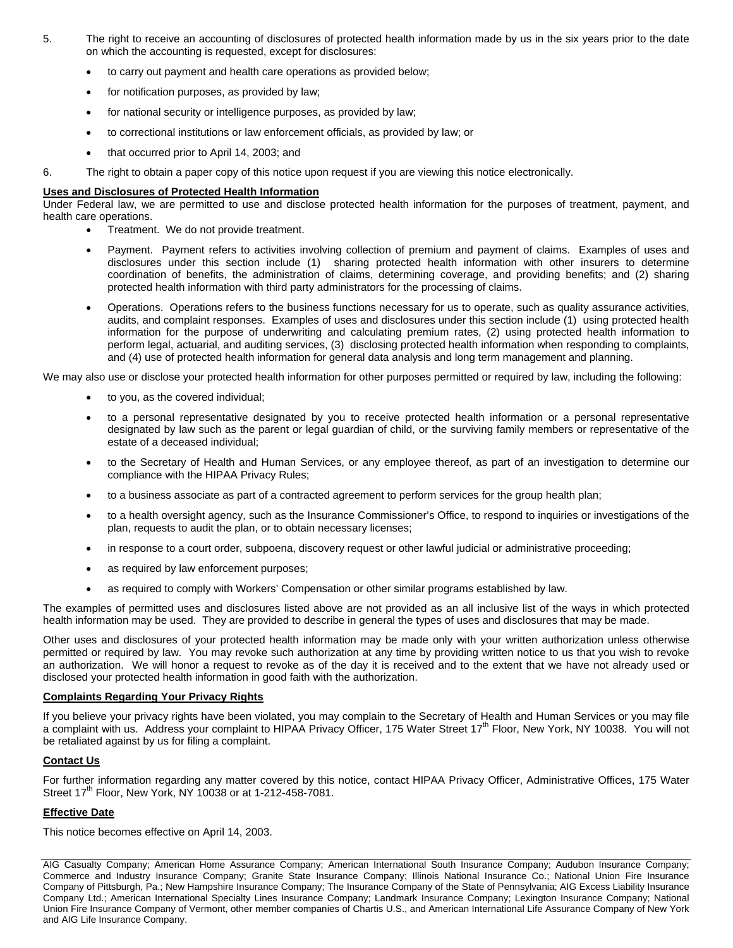- 5. The right to receive an accounting of disclosures of protected health information made by us in the six years prior to the date on which the accounting is requested, except for disclosures:
	- to carry out payment and health care operations as provided below;
	- for notification purposes, as provided by law;
	- for national security or intelligence purposes, as provided by law;
	- to correctional institutions or law enforcement officials, as provided by law; or
	- that occurred prior to April 14, 2003; and
- 6. The right to obtain a paper copy of this notice upon request if you are viewing this notice electronically.

### **Uses and Disclosures of Protected Health Information**

Under Federal law, we are permitted to use and disclose protected health information for the purposes of treatment, payment, and health care operations.

- Treatment. We do not provide treatment.
- Payment. Payment refers to activities involving collection of premium and payment of claims. Examples of uses and disclosures under this section include (1) sharing protected health information with other insurers to determine coordination of benefits, the administration of claims, determining coverage, and providing benefits; and (2) sharing protected health information with third party administrators for the processing of claims.
- Operations. Operations refers to the business functions necessary for us to operate, such as quality assurance activities, audits, and complaint responses. Examples of uses and disclosures under this section include (1) using protected health information for the purpose of underwriting and calculating premium rates, (2) using protected health information to perform legal, actuarial, and auditing services, (3) disclosing protected health information when responding to complaints, and (4) use of protected health information for general data analysis and long term management and planning.

We may also use or disclose your protected health information for other purposes permitted or required by law, including the following:

- to you, as the covered individual;
- to a personal representative designated by you to receive protected health information or a personal representative designated by law such as the parent or legal guardian of child, or the surviving family members or representative of the estate of a deceased individual;
- to the Secretary of Health and Human Services, or any employee thereof, as part of an investigation to determine our compliance with the HIPAA Privacy Rules;
- to a business associate as part of a contracted agreement to perform services for the group health plan;
- to a health oversight agency, such as the Insurance Commissioner's Office, to respond to inquiries or investigations of the plan, requests to audit the plan, or to obtain necessary licenses;
- in response to a court order, subpoena, discovery request or other lawful judicial or administrative proceeding;
- as required by law enforcement purposes;
- as required to comply with Workers' Compensation or other similar programs established by law.

The examples of permitted uses and disclosures listed above are not provided as an all inclusive list of the ways in which protected health information may be used. They are provided to describe in general the types of uses and disclosures that may be made.

Other uses and disclosures of your protected health information may be made only with your written authorization unless otherwise permitted or required by law. You may revoke such authorization at any time by providing written notice to us that you wish to revoke an authorization. We will honor a request to revoke as of the day it is received and to the extent that we have not already used or disclosed your protected health information in good faith with the authorization.

### **Complaints Regarding Your Privacy Rights**

If you believe your privacy rights have been violated, you may complain to the Secretary of Health and Human Services or you may file a complaint with us. Address your complaint to HIPAA Privacy Officer, 175 Water Street 17<sup>th</sup> Floor, New York, NY 10038. You will not be retaliated against by us for filing a complaint.

## **Contact Us**

For further information regarding any matter covered by this notice, contact HIPAA Privacy Officer, Administrative Offices, 175 Water Street 17<sup>th</sup> Floor, New York, NY 10038 or at 1-212-458-7081.

## **Effective Date**

This notice becomes effective on April 14, 2003.

AIG Casualty Company; American Home Assurance Company; American International South Insurance Company; Audubon Insurance Company; Commerce and Industry Insurance Company; Granite State Insurance Company; Illinois National Insurance Co.; National Union Fire Insurance Company of Pittsburgh, Pa.; New Hampshire Insurance Company; The Insurance Company of the State of Pennsylvania; AIG Excess Liability Insurance Company Ltd.; American International Specialty Lines Insurance Company; Landmark Insurance Company; Lexington Insurance Company; National Union Fire Insurance Company of Vermont, other member companies of Chartis U.S., and American International Life Assurance Company of New York and AIG Life Insurance Company.